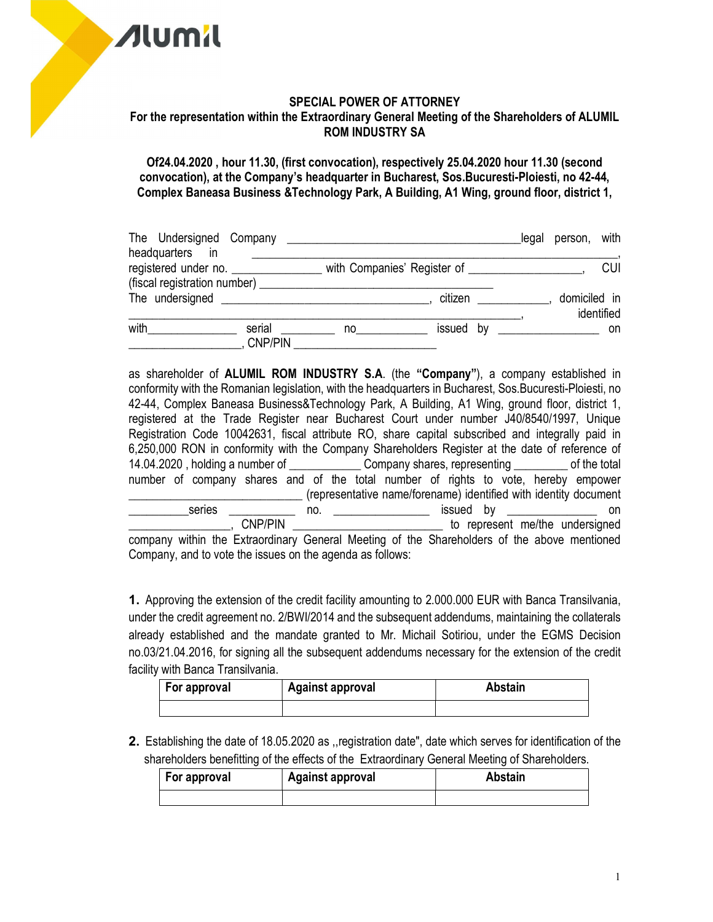

## SPECIAL POWER OF ATTORNEY For the representation within the Extraordinary General Meeting of the Shareholders of ALUMIL ROM INDUSTRY SA

Of24.04.2020 , hour 11.30, (first convocation), respectively 25.04.2020 hour 11.30 (second convocation), at the Company's headquarter in Bucharest, Sos.Bucuresti-Ploiesti, no 42-44, Complex Baneasa Business &Technology Park, A Building, A1 Wing, ground floor, district 1,

|                                                            |                          |                                                                                                                |                                                                                   | legal person, with |  |
|------------------------------------------------------------|--------------------------|----------------------------------------------------------------------------------------------------------------|-----------------------------------------------------------------------------------|--------------------|--|
| headquarters in<br>(fiscal registration number) __________ |                          |                                                                                                                | registered under no. _________________ with Companies' Register of ______________ | <b>CUI</b>         |  |
|                                                            |                          |                                                                                                                | citizen                                                                           | domiciled in       |  |
|                                                            |                          |                                                                                                                |                                                                                   | identified         |  |
| with                                                       | serial<br><b>CNP/PIN</b> | no a componente de la componente de la componente de la componente de la componente de la componente de la com |                                                                                   |                    |  |

as shareholder of ALUMIL ROM INDUSTRY S.A. (the "Company"), a company established in conformity with the Romanian legislation, with the headquarters in Bucharest, Sos.Bucuresti-Ploiesti, no 42-44, Complex Baneasa Business&Technology Park, A Building, A1 Wing, ground floor, district 1, registered at the Trade Register near Bucharest Court under number J40/8540/1997, Unique Registration Code 10042631, fiscal attribute RO, share capital subscribed and integrally paid in 6,250,000 RON in conformity with the Company Shareholders Register at the date of reference of 14.04.2020, holding a number of **Example 12** Company shares, representing of the total number of company shares and of the total number of rights to vote, hereby empower \_\_\_\_\_\_\_\_\_\_\_\_\_\_\_\_\_\_\_\_\_\_\_\_\_\_\_\_\_ (representative name/forename) identified with identity document \_\_\_\_\_\_\_\_\_\_series \_\_\_\_\_\_\_\_\_\_\_ no. \_\_\_\_\_\_\_\_\_\_\_\_\_\_\_\_ issued by \_\_\_\_\_\_\_\_\_\_\_\_\_\_\_ on \_\_\_\_\_\_\_\_\_\_\_\_\_\_\_\_\_, CNP/PIN \_\_\_\_\_\_\_\_\_\_\_\_\_\_\_\_\_\_\_\_\_\_\_\_\_ to represent me/the undersigned company within the Extraordinary General Meeting of the Shareholders of the above mentioned Company, and to vote the issues on the agenda as follows:

1. Approving the extension of the credit facility amounting to 2.000.000 EUR with Banca Transilvania, under the credit agreement no. 2/BWI/2014 and the subsequent addendums, maintaining the collaterals already established and the mandate granted to Mr. Michail Sotiriou, under the EGMS Decision no.03/21.04.2016, for signing all the subsequent addendums necessary for the extension of the credit facility with Banca Transilvania.

| For approval | <b>Against approval</b> | <b>Abstain</b> |
|--------------|-------------------------|----------------|
|              |                         |                |

2. Establishing the date of 18.05.2020 as ,,registration date", date which serves for identification of the shareholders benefitting of the effects of the Extraordinary General Meeting of Shareholders.

| For approval | <b>Against approval</b> | <b>Abstain</b> |
|--------------|-------------------------|----------------|
|              |                         |                |